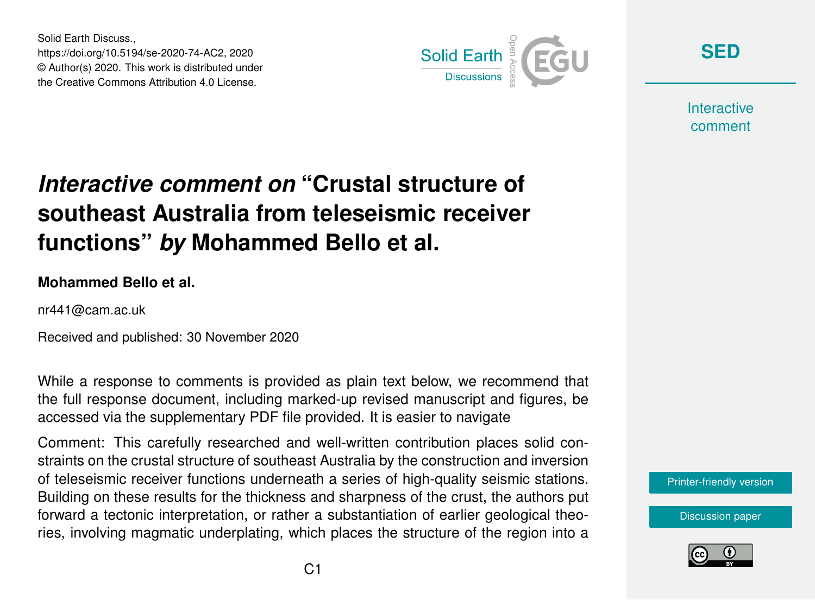Solid Earth Discuss., https://doi.org/10.5194/se-2020-74-AC2, 2020 © Author(s) 2020. This work is distributed under the Creative Commons Attribution 4.0 License.



**[SED](https://se.copernicus.org/preprints/)**

**Interactive** comment

## *Interactive comment on* **"Crustal structure of southeast Australia from teleseismic receiver functions"** *by* **Mohammed Bello et al.**

## **Mohammed Bello et al.**

nr441@cam.ac.uk

Received and published: 30 November 2020

While a response to comments is provided as plain text below, we recommend that the full response document, including marked-up revised manuscript and figures, be accessed via the supplementary PDF file provided. It is easier to navigate

Comment: This carefully researched and well-written contribution places solid constraints on the crustal structure of southeast Australia by the construction and inversion of teleseismic receiver functions underneath a series of high-quality seismic stations. Building on these results for the thickness and sharpness of the crust, the authors put forward a tectonic interpretation, or rather a substantiation of earlier geological theories, involving magmatic underplating, which places the structure of the region into a

[Printer-friendly version](https://se.copernicus.org/preprints/se-2020-74/se-2020-74-AC2-print.pdf)

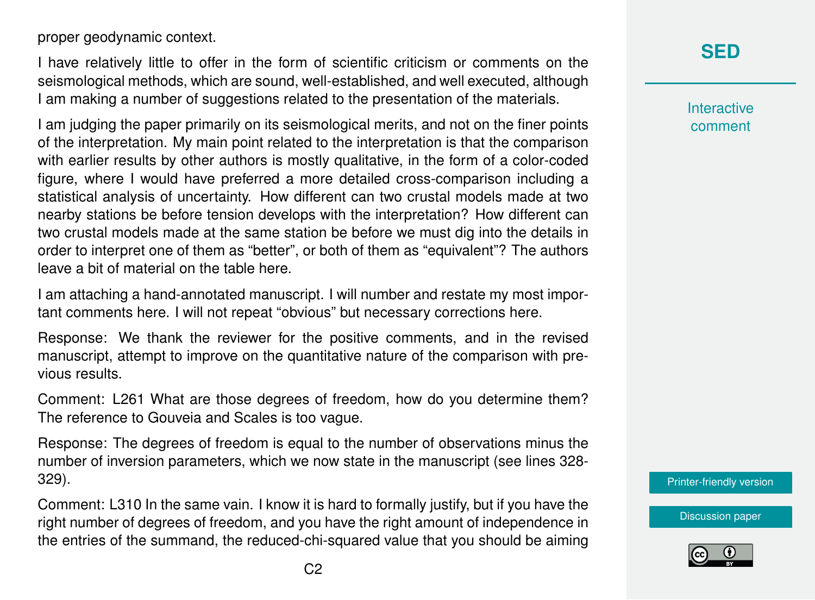proper geodynamic context.

I have relatively little to offer in the form of scientific criticism or comments on the seismological methods, which are sound, well-established, and well executed, although I am making a number of suggestions related to the presentation of the materials.

I am judging the paper primarily on its seismological merits, and not on the finer points of the interpretation. My main point related to the interpretation is that the comparison with earlier results by other authors is mostly qualitative, in the form of a color-coded figure, where I would have preferred a more detailed cross-comparison including a statistical analysis of uncertainty. How different can two crustal models made at two nearby stations be before tension develops with the interpretation? How different can two crustal models made at the same station be before we must dig into the details in order to interpret one of them as "better", or both of them as "equivalent"? The authors leave a bit of material on the table here.

I am attaching a hand-annotated manuscript. I will number and restate my most important comments here. I will not repeat "obvious" but necessary corrections here.

Response: We thank the reviewer for the positive comments, and in the revised manuscript, attempt to improve on the quantitative nature of the comparison with previous results.

Comment: L261 What are those degrees of freedom, how do you determine them? The reference to Gouveia and Scales is too vague.

Response: The degrees of freedom is equal to the number of observations minus the number of inversion parameters, which we now state in the manuscript (see lines 328- 329).

Comment: L310 In the same vain. I know it is hard to formally justify, but if you have the right number of degrees of freedom, and you have the right amount of independence in the entries of the summand, the reduced-chi-squared value that you should be aiming

## **[SED](https://se.copernicus.org/preprints/)**

**Interactive** comment

[Printer-friendly version](https://se.copernicus.org/preprints/se-2020-74/se-2020-74-AC2-print.pdf)

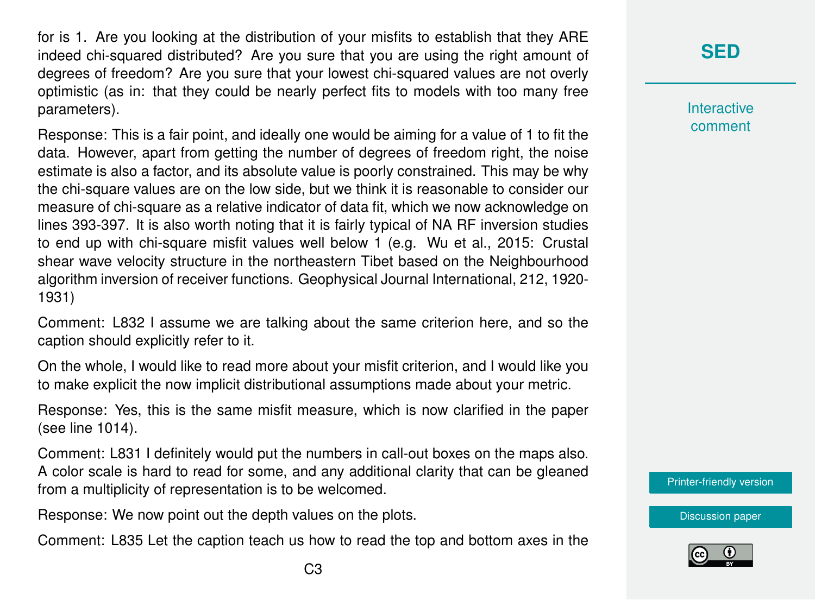for is 1. Are you looking at the distribution of your misfits to establish that they ARE indeed chi-squared distributed? Are you sure that you are using the right amount of degrees of freedom? Are you sure that your lowest chi-squared values are not overly optimistic (as in: that they could be nearly perfect fits to models with too many free parameters).

Response: This is a fair point, and ideally one would be aiming for a value of 1 to fit the data. However, apart from getting the number of degrees of freedom right, the noise estimate is also a factor, and its absolute value is poorly constrained. This may be why the chi-square values are on the low side, but we think it is reasonable to consider our measure of chi-square as a relative indicator of data fit, which we now acknowledge on lines 393-397. It is also worth noting that it is fairly typical of NA RF inversion studies to end up with chi-square misfit values well below 1 (e.g. Wu et al., 2015: Crustal shear wave velocity structure in the northeastern Tibet based on the Neighbourhood algorithm inversion of receiver functions. Geophysical Journal International, 212, 1920- 1931)

Comment: L832 I assume we are talking about the same criterion here, and so the caption should explicitly refer to it.

On the whole, I would like to read more about your misfit criterion, and I would like you to make explicit the now implicit distributional assumptions made about your metric.

Response: Yes, this is the same misfit measure, which is now clarified in the paper (see line 1014).

Comment: L831 I definitely would put the numbers in call-out boxes on the maps also. A color scale is hard to read for some, and any additional clarity that can be gleaned from a multiplicity of representation is to be welcomed.

Response: We now point out the depth values on the plots.

Comment: L835 Let the caption teach us how to read the top and bottom axes in the

**Interactive** comment

[Printer-friendly version](https://se.copernicus.org/preprints/se-2020-74/se-2020-74-AC2-print.pdf)

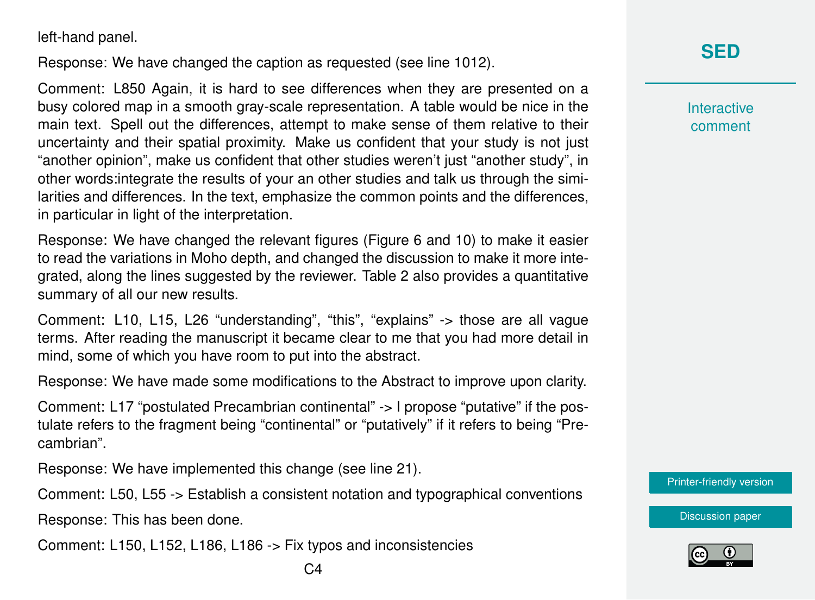left-hand panel.

Response: We have changed the caption as requested (see line 1012).

Comment: L850 Again, it is hard to see differences when they are presented on a busy colored map in a smooth gray-scale representation. A table would be nice in the main text. Spell out the differences, attempt to make sense of them relative to their uncertainty and their spatial proximity. Make us confident that your study is not just "another opinion", make us confident that other studies weren't just "another study", in other words:integrate the results of your an other studies and talk us through the similarities and differences. In the text, emphasize the common points and the differences, in particular in light of the interpretation.

Response: We have changed the relevant figures (Figure 6 and 10) to make it easier to read the variations in Moho depth, and changed the discussion to make it more integrated, along the lines suggested by the reviewer. Table 2 also provides a quantitative summary of all our new results.

Comment: L10, L15, L26 "understanding", "this", "explains" -> those are all vague terms. After reading the manuscript it became clear to me that you had more detail in mind, some of which you have room to put into the abstract.

Response: We have made some modifications to the Abstract to improve upon clarity.

Comment: L17 "postulated Precambrian continental" -> I propose "putative" if the postulate refers to the fragment being "continental" or "putatively" if it refers to being "Precambrian".

Response: We have implemented this change (see line 21).

Comment: L50, L55 -> Establish a consistent notation and typographical conventions

Response: This has been done.

Comment: L150, L152, L186, L186 -> Fix typos and inconsistencies

**Interactive** comment

[Printer-friendly version](https://se.copernicus.org/preprints/se-2020-74/se-2020-74-AC2-print.pdf)

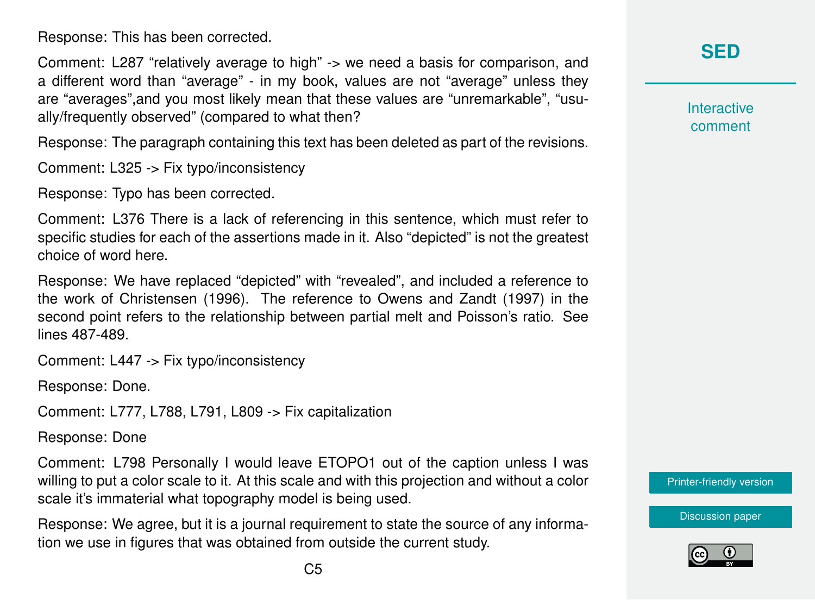Response: This has been corrected.

Comment: L287 "relatively average to high" -> we need a basis for comparison, and a different word than "average" - in my book, values are not "average" unless they are "averages",and you most likely mean that these values are "unremarkable", "usually/frequently observed" (compared to what then?

Response: The paragraph containing this text has been deleted as part of the revisions.

Comment: L325 -> Fix typo/inconsistency

Response: Typo has been corrected.

Comment: L376 There is a lack of referencing in this sentence, which must refer to specific studies for each of the assertions made in it. Also "depicted" is not the greatest choice of word here.

Response: We have replaced "depicted" with "revealed", and included a reference to the work of Christensen (1996). The reference to Owens and Zandt (1997) in the second point refers to the relationship between partial melt and Poisson's ratio. See lines 487-489.

Comment: L447 -> Fix typo/inconsistency

Response: Done.

Comment: L777, L788, L791, L809 -> Fix capitalization

Response: Done

Comment: L798 Personally I would leave ETOPO1 out of the caption unless I was willing to put a color scale to it. At this scale and with this projection and without a color scale it's immaterial what topography model is being used.

Response: We agree, but it is a journal requirement to state the source of any information we use in figures that was obtained from outside the current study.

**[SED](https://se.copernicus.org/preprints/)**

**Interactive** comment

[Printer-friendly version](https://se.copernicus.org/preprints/se-2020-74/se-2020-74-AC2-print.pdf)